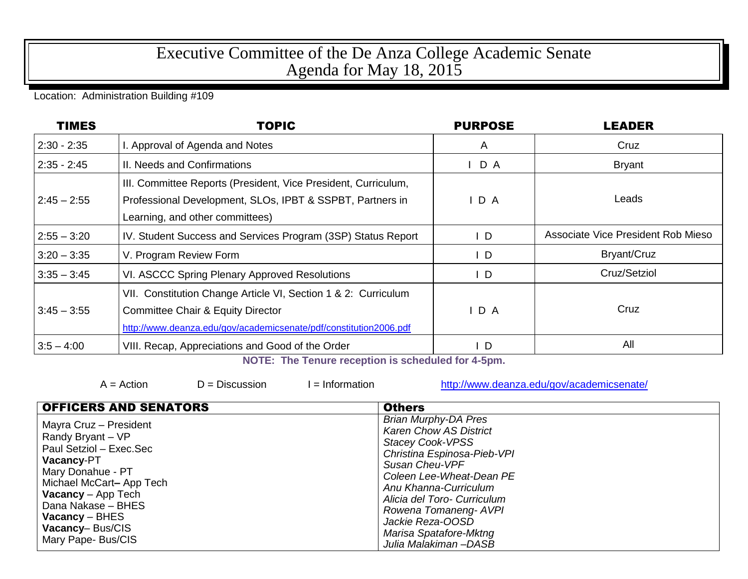## Executive Committee of the De Anza College Academic Senate Agenda for May 18, 2015

## Location: Administration Building #109

| <b>TIMES</b>  | <b>TOPIC</b>                                                                                                                                                                        | <b>PURPOSE</b> | <b>LEADER</b>                      |
|---------------|-------------------------------------------------------------------------------------------------------------------------------------------------------------------------------------|----------------|------------------------------------|
| $2:30 - 2:35$ | I. Approval of Agenda and Notes                                                                                                                                                     | A              | Cruz                               |
| $2:35 - 2:45$ | II. Needs and Confirmations                                                                                                                                                         | D A            | <b>Bryant</b>                      |
| $2:45 - 2:55$ | III. Committee Reports (President, Vice President, Curriculum,<br>Professional Development, SLOs, IPBT & SSPBT, Partners in<br>Learning, and other committees)                      | D A            | Leads                              |
| $2:55 - 3:20$ | IV. Student Success and Services Program (3SP) Status Report                                                                                                                        | $\mathsf{I}$   | Associate Vice President Rob Mieso |
| $3:20 - 3:35$ | V. Program Review Form                                                                                                                                                              | $\mathsf{I}$   | Bryant/Cruz                        |
| $3:35 - 3:45$ | VI. ASCCC Spring Plenary Approved Resolutions                                                                                                                                       | $\mathsf{L}$   | Cruz/Setziol                       |
| $3:45 - 3:55$ | VII. Constitution Change Article VI, Section 1 & 2: Curriculum<br><b>Committee Chair &amp; Equity Director</b><br>http://www.deanza.edu/gov/academicsenate/pdf/constitution2006.pdf | D A            | Cruz                               |
| $3:5 - 4:00$  | VIII. Recap, Appreciations and Good of the Order                                                                                                                                    | $\mathsf{L}$   | All                                |

**NOTE: The Tenure reception is scheduled for 4-5pm.**

 $A = Action$   $D = Discussion$   $I = Information$  <http://www.deanza.edu/gov/academicsenate/>

| <b>OFFICERS AND SENATORS</b>                                                                                                                                                                                                                                | <b>Others</b>                                                                                                                                                                                                                                                                                                               |  |
|-------------------------------------------------------------------------------------------------------------------------------------------------------------------------------------------------------------------------------------------------------------|-----------------------------------------------------------------------------------------------------------------------------------------------------------------------------------------------------------------------------------------------------------------------------------------------------------------------------|--|
| Mayra Cruz - President<br>Randy Bryant - VP<br>Paul Setziol - Exec.Sec<br><b>Vacancy-PT</b><br>Mary Donahue - PT<br>Michael McCart-App Tech<br><b>Vacancy</b> – App Tech<br>Dana Nakase - BHES<br>$Vacancy - BHES$<br>Vacancy-Bus/CIS<br>Mary Pape- Bus/CIS | <b>Brian Murphy-DA Pres</b><br><b>Karen Chow AS District</b><br><b>Stacey Cook-VPSS</b><br>Christina Espinosa-Pieb-VPI<br>Susan Cheu-VPF<br>Coleen Lee-Wheat-Dean PE<br>Anu Khanna-Curriculum<br>Alicia del Toro- Curriculum<br>Rowena Tomaneng- AVPI<br>Jackie Reza-OOSD<br>Marisa Spatafore-Mktng<br>Julia Malakiman-DASB |  |